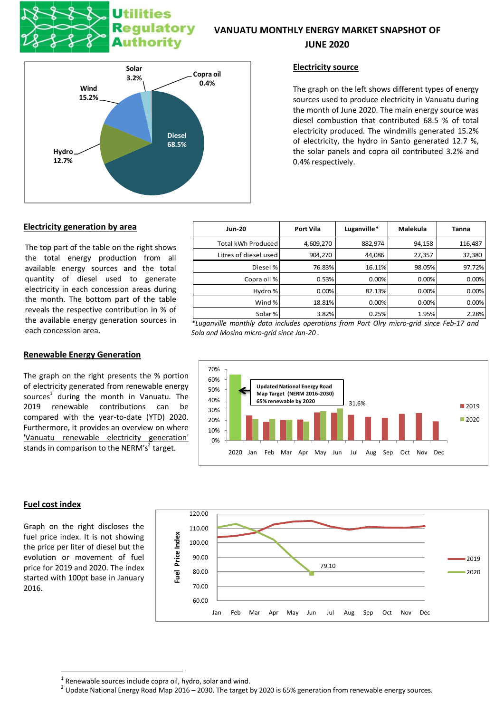# **Utilities Regulatory Authority**

## **VANUATU MONTHLY ENERGY MARKET SNAPSHOT OF**

### **JUNE 2020**



### **Electricity source**

The graph on the left shows different types of energy sources used to produce electricity in Vanuatu during the month of June 2020. The main energy source was diesel combustion that contributed 68.5 % of total electricity produced. The windmills generated 15.2% of electricity, the hydro in Santo generated 12.7 %, the solar panels and copra oil contributed 3.2% and 0.4% respectively.

### **Electricity generation by area**

The top part of the table on the right shows the total energy production from all available energy sources and the total quantity of diesel used to generate electricity in each concession areas during the month. The bottom part of the table reveals the respective contribution in % of the available energy generation sources in each concession area.

# **Renewable Energy Generation**

The graph on the right presents the % portion of electricity generated from renewable energy sources<sup>1</sup> during the month in Vanuatu. The 2019 renewable contributions can be compared with the year-to-date (YTD) 2020. Furthermore, it provides an overview on where 'Vanuatu renewable electricity generation' stands in comparison to the NERM's<sup>2</sup> target.

| <b>Jun-20</b>         | <b>Port Vila</b> | Luganville* | Malekula | Tanna   |
|-----------------------|------------------|-------------|----------|---------|
| Total kWh Produced    | 4,609,270        | 882,974     | 94,158   | 116,487 |
| Litres of diesel used | 904,270          | 44,086      | 27,357   | 32,380  |
| Diesel %              | 76.83%           | 16.11%      | 98.05%   | 97.72%  |
| Copra oil %           | 0.53%            | 0.00%       | 0.00%    | 0.00%   |
| Hydro %               | 0.00%            | 82.13%      | 0.00%    | 0.00%   |
| Wind %                | 18.81%           | 0.00%       | 0.00%    | 0.00%   |
| Solar %               | 3.82%            | 0.25%       | 1.95%    | 2.28%   |

*\*Luganville monthly data includes operations from Port Olry micro-grid since Feb-17 and Sola and Mosina micro-grid since Jan-20 .*



#### **Fuel cost index**

1

Graph on the right discloses the fuel price index. It is not showing the price per liter of diesel but the evolution or movement of fuel price for 2019 and 2020. The index started with 100pt base in January 2016.



 $1$  Renewable sources include copra oil, hydro, solar and wind.

 $^2$  Update National Energy Road Map 2016 – 2030. The target by 2020 is 65% generation from renewable energy sources.